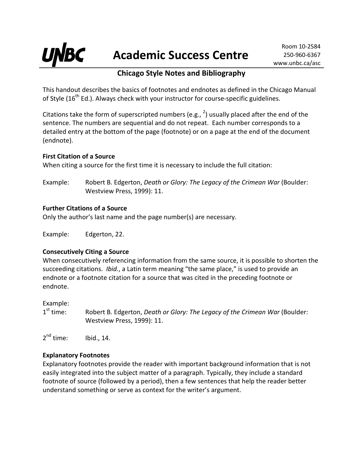

# **Chicago Style Notes and Bibliography**

This handout describes the basics of footnotes and endnotes as defined in the Chicago Manual of Style ( $16<sup>th</sup>$  Ed.). Always check with your instructor for course-specific guidelines.

Citations take the form of superscripted numbers (e.g.,  $^2$ ) usually placed after the end of the sentence. The numbers are sequential and do not repeat. Each number corresponds to a detailed entry at the bottom of the page (footnote) or on a page at the end of the document (endnote).

#### **First Citation of a Source**

When citing a source for the first time it is necessary to include the full citation:

Example: Robert B. Edgerton, *Death or Glory: The Legacy of the Crimean War* (Boulder: Westview Press, 1999): 11.

## **Further Citations of a Source**

Only the author's last name and the page number(s) are necessary.

Example: Edgerton, 22.

## **Consecutively Citing a Source**

When consecutively referencing information from the same source, it is possible to shorten the succeeding citations. *Ibid.*, a Latin term meaning "the same place," is used to provide an endnote or a footnote citation for a source that was cited in the preceding footnote or endnote.

Example:

1st time: Robert B. Edgerton, *Death or Glory: The Legacy of the Crimean War* (Boulder: Westview Press, 1999): 11.

 $2^{nd}$  time: Ibid., 14.

## **Explanatory Footnotes**

Explanatory footnotes provide the reader with important background information that is not easily integrated into the subject matter of a paragraph. Typically, they include a standard footnote of source (followed by a period), then a few sentences that help the reader better understand something or serve as context for the writer's argument.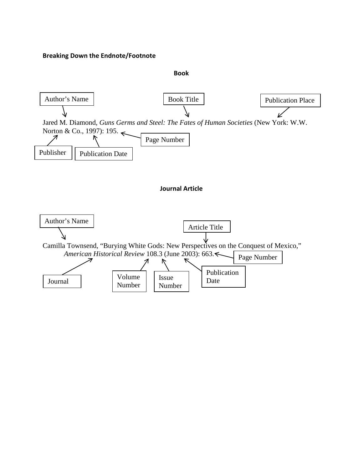#### **Breaking Down the Endnote/Footnote**

#### **Book**